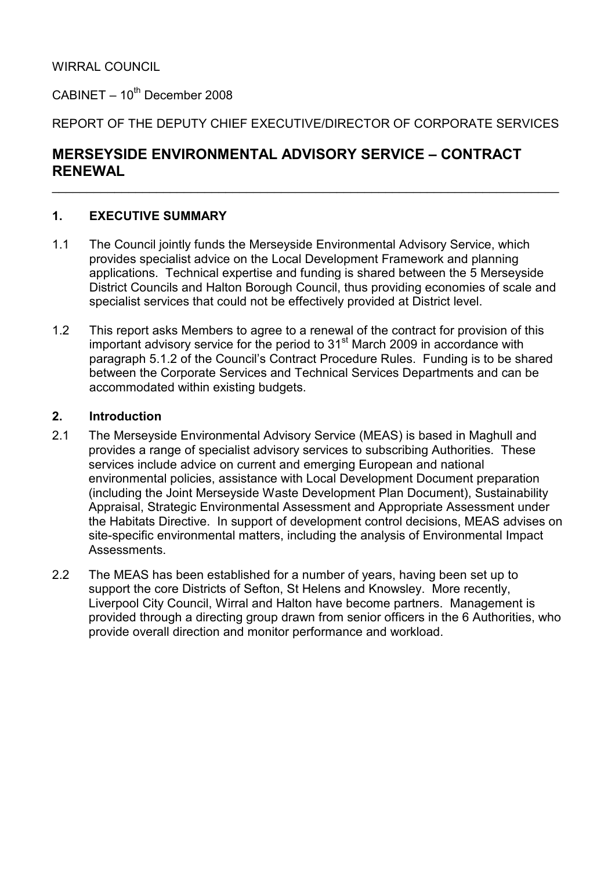$C$ ABINET – 10<sup>th</sup> December 2008

REPORT OF THE DEPUTY CHIEF EXECUTIVE/DIRECTOR OF CORPORATE SERVICES

 $\_$  , and the contribution of the contribution of the contribution of the contribution of  $\mathcal{L}_\mathbf{z}$ 

# MERSEYSIDE ENVIRONMENTAL ADVISORY SERVICE – CONTRACT RENEWAL

### 1. EXECUTIVE SUMMARY

- 1.1 The Council jointly funds the Merseyside Environmental Advisory Service, which provides specialist advice on the Local Development Framework and planning applications. Technical expertise and funding is shared between the 5 Merseyside District Councils and Halton Borough Council, thus providing economies of scale and specialist services that could not be effectively provided at District level.
- 1.2 This report asks Members to agree to a renewal of the contract for provision of this important advisory service for the period to  $31<sup>st</sup>$  March 2009 in accordance with paragraph 5.1.2 of the Council's Contract Procedure Rules. Funding is to be shared between the Corporate Services and Technical Services Departments and can be accommodated within existing budgets.

#### 2. Introduction

- 2.1 The Merseyside Environmental Advisory Service (MEAS) is based in Maghull and provides a range of specialist advisory services to subscribing Authorities. These services include advice on current and emerging European and national environmental policies, assistance with Local Development Document preparation (including the Joint Merseyside Waste Development Plan Document), Sustainability Appraisal, Strategic Environmental Assessment and Appropriate Assessment under the Habitats Directive. In support of development control decisions, MEAS advises on site-specific environmental matters, including the analysis of Environmental Impact Assessments.
- 2.2 The MEAS has been established for a number of years, having been set up to support the core Districts of Sefton, St Helens and Knowsley. More recently, Liverpool City Council, Wirral and Halton have become partners. Management is provided through a directing group drawn from senior officers in the 6 Authorities, who provide overall direction and monitor performance and workload.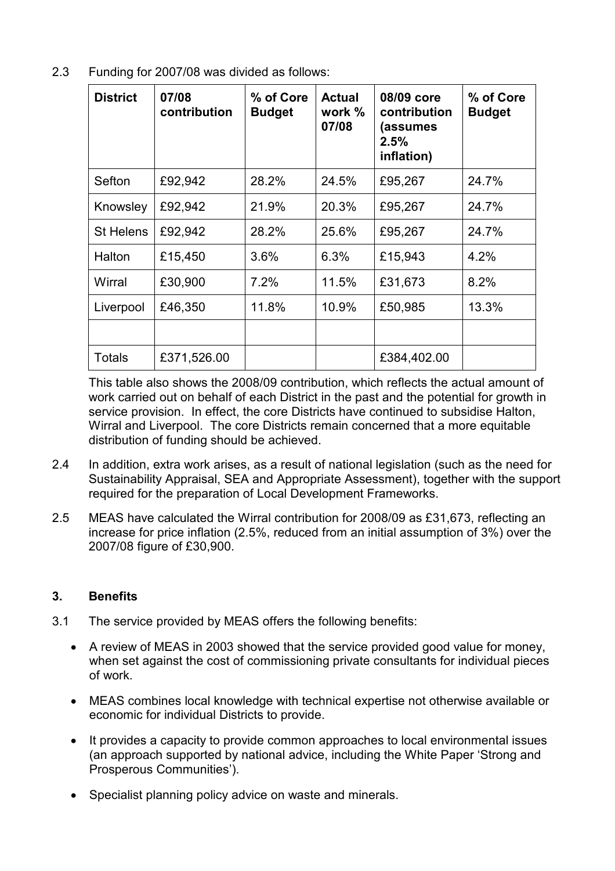2.3 Funding for 2007/08 was divided as follows:

| <b>District</b>  | 07/08<br>contribution | % of Core<br><b>Budget</b> | <b>Actual</b><br>work %<br>07/08 | 08/09 core<br>contribution<br>(assumes<br>2.5%<br>inflation) | % of Core<br><b>Budget</b> |
|------------------|-----------------------|----------------------------|----------------------------------|--------------------------------------------------------------|----------------------------|
| Sefton           | £92,942               | 28.2%                      | 24.5%                            | £95,267                                                      | 24.7%                      |
| Knowsley         | £92,942               | 21.9%                      | 20.3%                            | £95,267                                                      | 24.7%                      |
| <b>St Helens</b> | £92,942               | 28.2%                      | 25.6%                            | £95,267                                                      | 24.7%                      |
| Halton           | £15,450               | 3.6%                       | 6.3%                             | £15,943                                                      | 4.2%                       |
| Wirral           | £30,900               | 7.2%                       | 11.5%                            | £31,673                                                      | 8.2%                       |
| Liverpool        | £46,350               | 11.8%                      | 10.9%                            | £50,985                                                      | 13.3%                      |
|                  |                       |                            |                                  |                                                              |                            |
| Totals           | £371,526.00           |                            |                                  | £384,402.00                                                  |                            |

This table also shows the 2008/09 contribution, which reflects the actual amount of work carried out on behalf of each District in the past and the potential for growth in service provision. In effect, the core Districts have continued to subsidise Halton, Wirral and Liverpool. The core Districts remain concerned that a more equitable distribution of funding should be achieved.

- 2.4 In addition, extra work arises, as a result of national legislation (such as the need for Sustainability Appraisal, SEA and Appropriate Assessment), together with the support required for the preparation of Local Development Frameworks.
- 2.5 MEAS have calculated the Wirral contribution for 2008/09 as £31,673, reflecting an increase for price inflation (2.5%, reduced from an initial assumption of 3%) over the 2007/08 figure of £30,900.

#### 3. Benefits

- 3.1 The service provided by MEAS offers the following benefits:
	- A review of MEAS in 2003 showed that the service provided good value for money, when set against the cost of commissioning private consultants for individual pieces of work.
	- MEAS combines local knowledge with technical expertise not otherwise available or economic for individual Districts to provide.
	- It provides a capacity to provide common approaches to local environmental issues (an approach supported by national advice, including the White Paper 'Strong and Prosperous Communities').
	- Specialist planning policy advice on waste and minerals.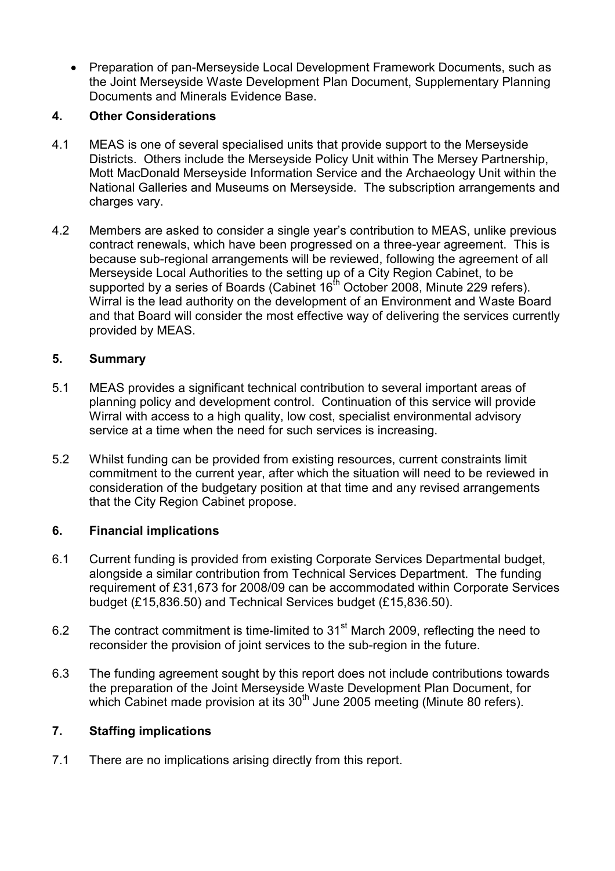• Preparation of pan-Merseyside Local Development Framework Documents, such as the Joint Merseyside Waste Development Plan Document, Supplementary Planning Documents and Minerals Evidence Base.

### 4. Other Considerations

- 4.1 MEAS is one of several specialised units that provide support to the Merseyside Districts. Others include the Merseyside Policy Unit within The Mersey Partnership, Mott MacDonald Merseyside Information Service and the Archaeology Unit within the National Galleries and Museums on Merseyside. The subscription arrangements and charges vary.
- 4.2 Members are asked to consider a single year's contribution to MEAS, unlike previous contract renewals, which have been progressed on a three-year agreement. This is because sub-regional arrangements will be reviewed, following the agreement of all Merseyside Local Authorities to the setting up of a City Region Cabinet, to be supported by a series of Boards (Cabinet  $16<sup>th</sup>$  October 2008, Minute 229 refers). Wirral is the lead authority on the development of an Environment and Waste Board and that Board will consider the most effective way of delivering the services currently provided by MEAS.

### 5. Summary

- 5.1 MEAS provides a significant technical contribution to several important areas of planning policy and development control. Continuation of this service will provide Wirral with access to a high quality, low cost, specialist environmental advisory service at a time when the need for such services is increasing.
- 5.2 Whilst funding can be provided from existing resources, current constraints limit commitment to the current year, after which the situation will need to be reviewed in consideration of the budgetary position at that time and any revised arrangements that the City Region Cabinet propose.

#### 6. Financial implications

- 6.1 Current funding is provided from existing Corporate Services Departmental budget, alongside a similar contribution from Technical Services Department. The funding requirement of £31,673 for 2008/09 can be accommodated within Corporate Services budget (£15,836.50) and Technical Services budget (£15,836.50).
- 6.2 The contract commitment is time-limited to 31<sup>st</sup> March 2009, reflecting the need to reconsider the provision of joint services to the sub-region in the future.
- 6.3 The funding agreement sought by this report does not include contributions towards the preparation of the Joint Merseyside Waste Development Plan Document, for which Cabinet made provision at its 30<sup>th</sup> June 2005 meeting (Minute 80 refers).

#### 7. Staffing implications

7.1 There are no implications arising directly from this report.